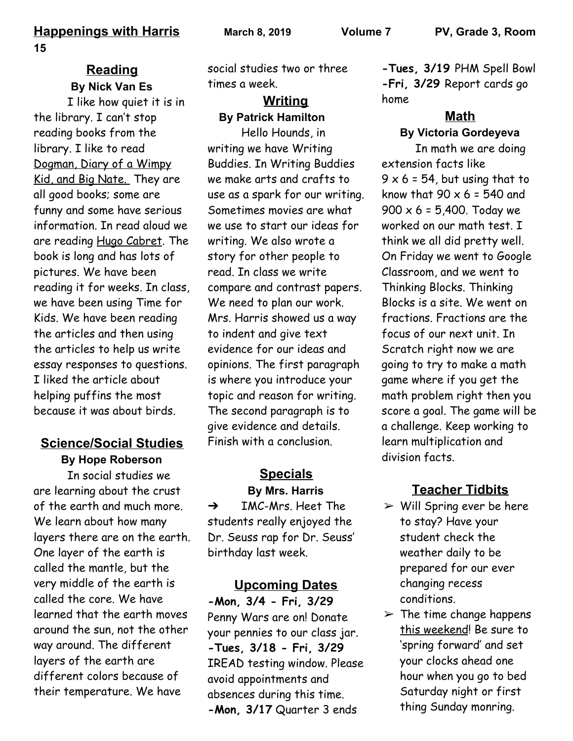#### **Reading By Nick Van Es**

I like how quiet it is in the library. I can't stop reading books from the library. I like to read Dogman, Diary of a Wimpy Kid, and Big Nate. They are all good books; some are funny and some have serious information. In read aloud we are reading Hugo Cabret. The book is long and has lots of pictures. We have been reading it for weeks. In class, we have been using Time for Kids. We have been reading the articles and then using the articles to help us write essay responses to questions. I liked the article about helping puffins the most because it was about birds.

## **Science/Social Studies**

**By Hope Roberson**

In social studies we are learning about the crust of the earth and much more. We learn about how many layers there are on the earth. One layer of the earth is called the mantle, but the very middle of the earth is called the core. We have learned that the earth moves around the sun, not the other way around. The different layers of the earth are different colors because of their temperature. We have

social studies two or three times a week.

#### **Writing By Patrick Hamilton**

Hello Hounds, in writing we have Writing Buddies. In Writing Buddies we make arts and crafts to use as a spark for our writing. Sometimes movies are what we use to start our ideas for writing. We also wrote a story for other people to read. In class we write compare and contrast papers. We need to plan our work. Mrs. Harris showed us a way to indent and give text evidence for our ideas and opinions. The first paragraph is where you introduce your topic and reason for writing. The second paragraph is to give evidence and details. Finish with a conclusion.

## **Specials By Mrs. Harris**

 $\rightarrow$  IMC-Mrs. Heet The students really enjoyed the Dr. Seuss rap for Dr. Seuss' birthday last week.

**Upcoming Dates -Mon, 3/4 - Fri, 3/29** Penny Wars are on! Donate your pennies to our class jar. **-Tues, 3/18 - Fri, 3/29** IREAD testing window. Please avoid appointments and absences during this time. **-Mon, 3/17** Quarter 3 ends

**-Tues, 3/19** PHM Spell Bowl **-Fri, 3/29** Report cards go home

#### **Math By Victoria Gordeyeva**

In math we are doing extension facts like  $9 \times 6 = 54$ , but using that to know that  $90 \times 6 = 540$  and  $900 \times 6 = 5,400$ . Today we worked on our math test. I think we all did pretty well. On Friday we went to Google Classroom, and we went to Thinking Blocks. Thinking Blocks is a site. We went on fractions. Fractions are the focus of our next unit. In Scratch right now we are going to try to make a math game where if you get the math problem right then you score a goal. The game will be a challenge. Keep working to learn multiplication and division facts.

# **Teacher Tidbits**

- $\triangleright$  Will Spring ever be here to stay? Have your student check the weather daily to be prepared for our ever changing recess conditions.
- $\triangleright$  The time change happens this weekend! Be sure to 'spring forward' and set your clocks ahead one hour when you go to bed Saturday night or first thing Sunday monring.